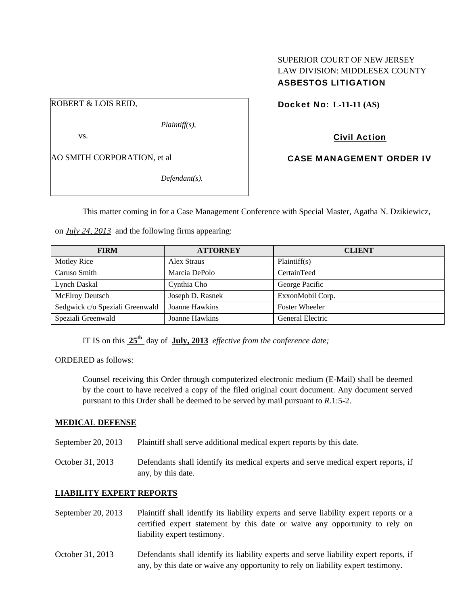# SUPERIOR COURT OF NEW JERSEY LAW DIVISION: MIDDLESEX COUNTY ASBESTOS LITIGATION

Docket No: **L-11-11 (AS)** 

Civil Action

CASE MANAGEMENT ORDER IV

AO SMITH CORPORATION, et al

ROBERT & LOIS REID,

vs.

*Defendant(s).* 

*Plaintiff(s),* 

This matter coming in for a Case Management Conference with Special Master, Agatha N. Dzikiewicz,

on *July 24, 2013* and the following firms appearing:

| <b>FIRM</b>                     | <b>ATTORNEY</b>  | <b>CLIENT</b>           |
|---------------------------------|------------------|-------------------------|
| Motley Rice                     | Alex Straus      | Plaintiff(s)            |
| Caruso Smith                    | Marcia DePolo    | CertainTeed             |
| Lynch Daskal                    | Cynthia Cho      | George Pacific          |
| <b>McElroy Deutsch</b>          | Joseph D. Rasnek | ExxonMobil Corp.        |
| Sedgwick c/o Speziali Greenwald | Joanne Hawkins   | <b>Foster Wheeler</b>   |
| Speziali Greenwald              | Joanne Hawkins   | <b>General Electric</b> |

IT IS on this **25th** day of **July, 2013** *effective from the conference date;*

ORDERED as follows:

Counsel receiving this Order through computerized electronic medium (E-Mail) shall be deemed by the court to have received a copy of the filed original court document. Any document served pursuant to this Order shall be deemed to be served by mail pursuant to *R*.1:5-2.

### **MEDICAL DEFENSE**

September 20, 2013 Plaintiff shall serve additional medical expert reports by this date.

October 31, 2013 Defendants shall identify its medical experts and serve medical expert reports, if any, by this date.

# **LIABILITY EXPERT REPORTS**

- September 20, 2013 Plaintiff shall identify its liability experts and serve liability expert reports or a certified expert statement by this date or waive any opportunity to rely on liability expert testimony.
- October 31, 2013 Defendants shall identify its liability experts and serve liability expert reports, if any, by this date or waive any opportunity to rely on liability expert testimony.